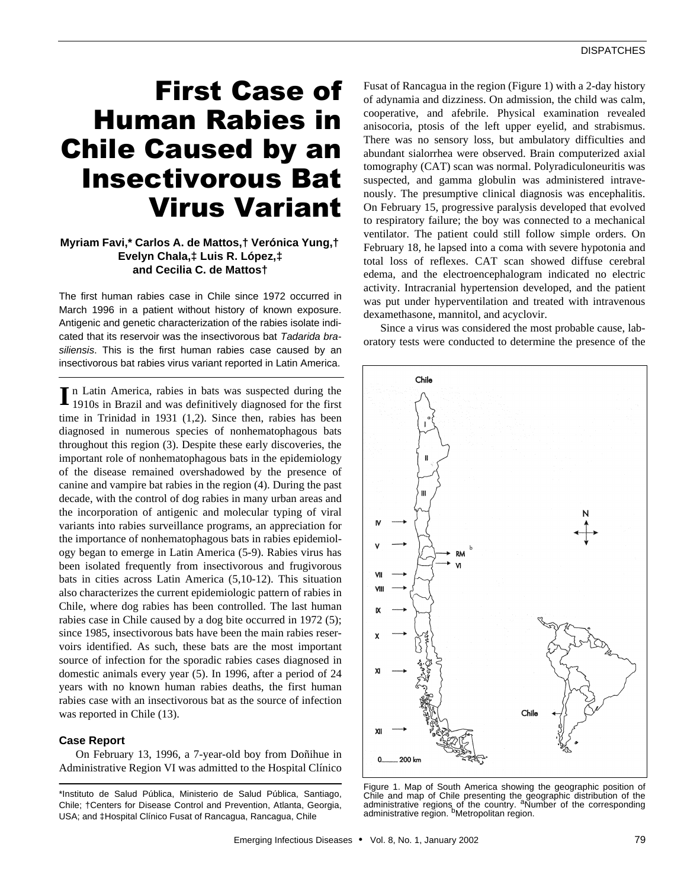# First Case of Human Rabies in Chile Caused by an Insectivorous Bat Virus Variant

# **Myriam Favi,\* Carlos A. de Mattos,† Verónica Yung,† Evelyn Chala,‡ Luis R. López,‡ and Cecilia C. de Mattos†**

The first human rabies case in Chile since 1972 occurred in March 1996 in a patient without history of known exposure. Antigenic and genetic characterization of the rabies isolate indicated that its reservoir was the insectivorous bat *Tadarida brasiliensis*. This is the first human rabies case caused by an insectivorous bat rabies virus variant reported in Latin America.

n Latin America, rabies in bats was suspected during the In Latin America, rabies in bats was suspected during the 1910s in Brazil and was definitively diagnosed for the first time in Trinidad in 1931 (1,2). Since then, rabies has been diagnosed in numerous species of nonhematophagous bats throughout this region (3). Despite these early discoveries, the important role of nonhematophagous bats in the epidemiology of the disease remained overshadowed by the presence of canine and vampire bat rabies in the region (4). During the past decade, with the control of dog rabies in many urban areas and the incorporation of antigenic and molecular typing of viral variants into rabies surveillance programs, an appreciation for the importance of nonhematophagous bats in rabies epidemiology began to emerge in Latin America (5-9). Rabies virus has been isolated frequently from insectivorous and frugivorous bats in cities across Latin America (5,10-12). This situation also characterizes the current epidemiologic pattern of rabies in Chile, where dog rabies has been controlled. The last human rabies case in Chile caused by a dog bite occurred in 1972 (5); since 1985, insectivorous bats have been the main rabies reservoirs identified. As such, these bats are the most important source of infection for the sporadic rabies cases diagnosed in domestic animals every year (5). In 1996, after a period of 24 years with no known human rabies deaths, the first human rabies case with an insectivorous bat as the source of infection was reported in Chile (13).

# **Case Report**

On February 13, 1996, a 7-year-old boy from Doñihue in Administrative Region VI was admitted to the Hospital Clínico Fusat of Rancagua in the region (Figure 1) with a 2-day history of adynamia and dizziness. On admission, the child was calm, cooperative, and afebrile. Physical examination revealed anisocoria, ptosis of the left upper eyelid, and strabismus. There was no sensory loss, but ambulatory difficulties and abundant sialorrhea were observed. Brain computerized axial tomography (CAT) scan was normal. Polyradiculoneuritis was suspected, and gamma globulin was administered intravenously. The presumptive clinical diagnosis was encephalitis. On February 15, progressive paralysis developed that evolved to respiratory failure; the boy was connected to a mechanical ventilator. The patient could still follow simple orders. On February 18, he lapsed into a coma with severe hypotonia and total loss of reflexes. CAT scan showed diffuse cerebral edema, and the electroencephalogram indicated no electric activity. Intracranial hypertension developed, and the patient was put under hyperventilation and treated with intravenous dexamethasone, mannitol, and acyclovir.

Since a virus was considered the most probable cause, laboratory tests were conducted to determine the presence of the



Figure 1. Map of South America showing the geographic position of Chile and map of Chile presenting the geographic distribution of the<br>administrative regions of the country. <sup>a</sup>Number of the corresponding administrative region. <sup>b</sup>Metropolitan region.

<sup>\*</sup>Instituto de Salud Pública, Ministerio de Salud Pública, Santiago, Chile; †Centers for Disease Control and Prevention, Atlanta, Georgia, USA; and ‡Hospital Clínico Fusat of Rancagua, Rancagua, Chile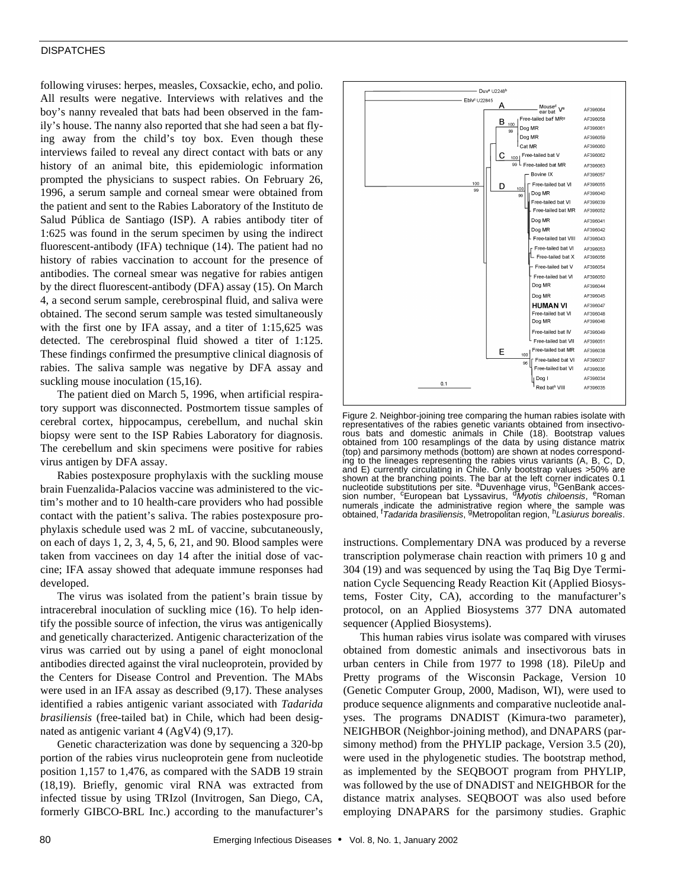### **DISPATCHES**

following viruses: herpes, measles, Coxsackie, echo, and polio. All results were negative. Interviews with relatives and the boy's nanny revealed that bats had been observed in the family's house. The nanny also reported that she had seen a bat flying away from the child's toy box. Even though these interviews failed to reveal any direct contact with bats or any history of an animal bite, this epidemiologic information prompted the physicians to suspect rabies. On February 26, 1996, a serum sample and corneal smear were obtained from the patient and sent to the Rabies Laboratory of the Instituto de Salud Pública de Santiago (ISP). A rabies antibody titer of 1:625 was found in the serum specimen by using the indirect fluorescent-antibody (IFA) technique (14). The patient had no history of rabies vaccination to account for the presence of antibodies. The corneal smear was negative for rabies antigen by the direct fluorescent-antibody (DFA) assay (15). On March 4, a second serum sample, cerebrospinal fluid, and saliva were obtained. The second serum sample was tested simultaneously with the first one by IFA assay, and a titer of 1:15,625 was detected. The cerebrospinal fluid showed a titer of 1:125. These findings confirmed the presumptive clinical diagnosis of rabies. The saliva sample was negative by DFA assay and suckling mouse inoculation  $(15,16)$ .

The patient died on March 5, 1996, when artificial respiratory support was disconnected. Postmortem tissue samples of cerebral cortex, hippocampus, cerebellum, and nuchal skin biopsy were sent to the ISP Rabies Laboratory for diagnosis. The cerebellum and skin specimens were positive for rabies virus antigen by DFA assay.

Rabies postexposure prophylaxis with the suckling mouse brain Fuenzalida-Palacios vaccine was administered to the victim's mother and to 10 health-care providers who had possible contact with the patient's saliva. The rabies postexposure prophylaxis schedule used was 2 mL of vaccine, subcutaneously, on each of days 1, 2, 3, 4, 5, 6, 21, and 90. Blood samples were taken from vaccinees on day 14 after the initial dose of vaccine; IFA assay showed that adequate immune responses had developed.

The virus was isolated from the patient's brain tissue by intracerebral inoculation of suckling mice (16). To help identify the possible source of infection, the virus was antigenically and genetically characterized. Antigenic characterization of the virus was carried out by using a panel of eight monoclonal antibodies directed against the viral nucleoprotein, provided by the Centers for Disease Control and Prevention. The MAbs were used in an IFA assay as described (9,17). These analyses identified a rabies antigenic variant associated with *Tadarida brasiliensis* (free-tailed bat) in Chile, which had been designated as antigenic variant 4 (AgV4) (9,17).

Genetic characterization was done by sequencing a 320-bp portion of the rabies virus nucleoprotein gene from nucleotide position 1,157 to 1,476, as compared with the SADB 19 strain (18,19). Briefly, genomic viral RNA was extracted from infected tissue by using TRIzol (Invitrogen, San Diego, CA, formerly GIBCO-BRL Inc.) according to the manufacturer's



Figure 2. Neighbor-joining tree comparing the human rabies isolate with representatives of the rabies genetic variants obtained from insectivorous bats and domestic animals in Chile (18). Bootstrap values obtained from 100 resamplings of the data by using distance matrix (top) and parsimony methods (bottom) are shown at nodes corresponding to the lineages representing the rabies virus variants (A, B, C, D, and E) currently circulating in Chile. Only bootstrap values >50% are shown at the branching points. The bar at the left corner indicates 0.1<br>nucleotide substitutions per site. <sup>a</sup>Duvenhage virus, <sup>b</sup>GenBank acces-<br>sion number, <sup>c</sup>European bat Lyssavirus, <sup>d</sup>Myotis *chiloensis*, <sup>e</sup>Roman numerals indicate the administrative region where the sample was<br>obtained, <sup>f</sup>*Tadarida brasiliensis*, <sup>g</sup>Metropolitan region, <sup>h</sup>Lasi*urus borealis*.

instructions. Complementary DNA was produced by a reverse transcription polymerase chain reaction with primers 10 g and 304 (19) and was sequenced by using the Taq Big Dye Termination Cycle Sequencing Ready Reaction Kit (Applied Biosystems, Foster City, CA), according to the manufacturer's protocol, on an Applied Biosystems 377 DNA automated sequencer (Applied Biosystems).

This human rabies virus isolate was compared with viruses obtained from domestic animals and insectivorous bats in urban centers in Chile from 1977 to 1998 (18). PileUp and Pretty programs of the Wisconsin Package, Version 10 (Genetic Computer Group, 2000, Madison, WI), were used to produce sequence alignments and comparative nucleotide analyses. The programs DNADIST (Kimura-two parameter), NEIGHBOR (Neighbor-joining method), and DNAPARS (parsimony method) from the PHYLIP package, Version 3.5 (20), were used in the phylogenetic studies. The bootstrap method, as implemented by the SEQBOOT program from PHYLIP, was followed by the use of DNADIST and NEIGHBOR for the distance matrix analyses. SEQBOOT was also used before employing DNAPARS for the parsimony studies. Graphic